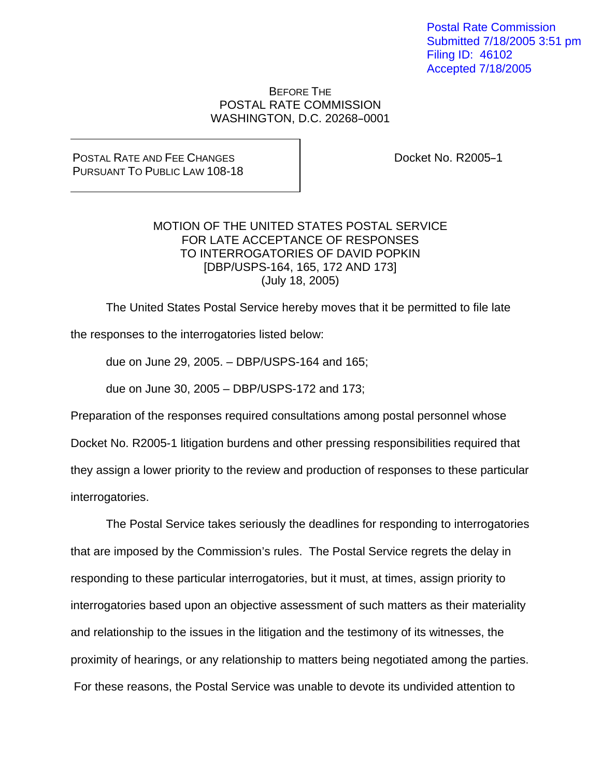Postal Rate Commission Submitted 7/18/2005 3:51 pm Filing ID: 46102 Accepted 7/18/2005

BEFORE THE POSTAL RATE COMMISSION WASHINGTON, D.C. 20268-0001

POSTAL RATE AND FEE CHANGES PURSUANT TO PUBLIC LAW 108-18 Docket No. R2005-1

## MOTION OF THE UNITED STATES POSTAL SERVICE FOR LATE ACCEPTANCE OF RESPONSES TO INTERROGATORIES OF DAVID POPKIN [DBP/USPS-164, 165, 172 AND 173] (July 18, 2005)

The United States Postal Service hereby moves that it be permitted to file late

the responses to the interrogatories listed below:

due on June 29, 2005. – DBP/USPS-164 and 165;

due on June 30, 2005 – DBP/USPS-172 and 173;

Preparation of the responses required consultations among postal personnel whose Docket No. R2005-1 litigation burdens and other pressing responsibilities required that they assign a lower priority to the review and production of responses to these particular interrogatories.

 The Postal Service takes seriously the deadlines for responding to interrogatories that are imposed by the Commission's rules. The Postal Service regrets the delay in responding to these particular interrogatories, but it must, at times, assign priority to interrogatories based upon an objective assessment of such matters as their materiality and relationship to the issues in the litigation and the testimony of its witnesses, the proximity of hearings, or any relationship to matters being negotiated among the parties. For these reasons, the Postal Service was unable to devote its undivided attention to